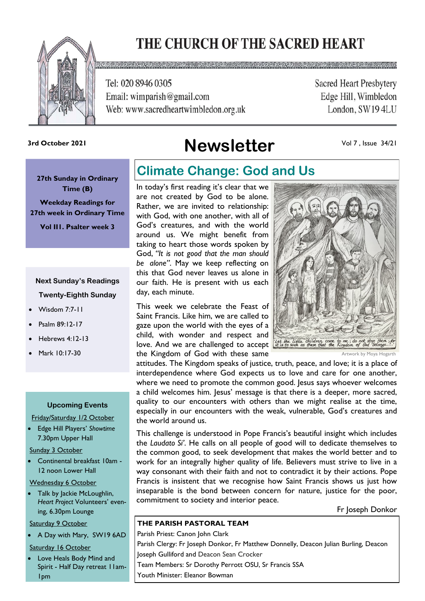# THE CHURCH OF THE SACRED HEART



Tel: 020 8946 0305 Email: wimparish@gmail.com Web: www.sacredheartwimbledon.org.uk **Sacred Heart Presbytery** Edge Hill, Wimbledon London, SW194LU

# **Newsletter 3rd October 2021**

Vol 7 , Issue 34/21

**27th Sunday in Ordinary Time (B)** 

**Weekday Readings for 27th week in Ordinary Time**

**Vol II1. Psalter week 3**

### **Next Sunday's Readings Twenty-Eighth Sunday**

- Wisdom 7:7-11
- Psalm 89:12-17
- Hebrews 4:12-13
- Mark 10:17-30

#### **Upcoming Events**

Friday/Saturday 1/2 October

• Edge Hill Players' *Showtime* 7.30pm Upper Hall

Sunday 3 October

• Continental breakfast 10am - 12 noon Lower Hall

Wednesday 6 October

• Talk by Jackie McLoughlin, *Heart Project* Volunteers' evening, 6.30pm Lounge

Saturday 9 October

• A Day with Mary, SW19 6AD

#### Saturday 16 October

Love Heals Body Mind and Spirit - Half Day retreat 11am-1pm

### **Climate Change: God and Us**

In today's first reading it's clear that we are not created by God to be alone. Rather, we are invited to relationship: with God, with one another, with all of God's creatures, and with the world around us. We might benefit from taking to heart those words spoken by God, *"It is not good that the man should be alone"*. May we keep reflecting on this that God never leaves us alone in our faith. He is present with us each day, each minute.

This week we celebrate the Feast of Saint Francis. Like him, we are called to gaze upon the world with the eyes of a child, with wonder and respect and love. And we are challenged to accept *it is to such as these that the Kingdom* of the Kingdom of God with these same



Artwork by Moya Hogarth

attitudes. The Kingdom speaks of justice, truth, peace, and love; it is a place of interdependence where God expects us to love and care for one another, where we need to promote the common good. Jesus says whoever welcomes a child welcomes him. Jesus' message is that there is a deeper, more sacred, quality to our encounters with others than we might realise at the time, especially in our encounters with the weak, vulnerable, God's creatures and the world around us.

This challenge is understood in Pope Francis's beautiful insight which includes the *Laudato Si'*. He calls on all people of good will to dedicate themselves to the common good, to seek development that makes the world better and to work for an integrally higher quality of life. Believers must strive to live in a way consonant with their faith and not to contradict it by their actions. Pope Francis is insistent that we recognise how Saint Francis shows us just how inseparable is the bond between concern for nature, justice for the poor, commitment to society and interior peace.

Fr Joseph Donkor

#### **THE PARISH PASTORAL TEAM**

Parish Priest: Canon John Clark Parish Clergy: Fr Joseph Donkor, Fr Matthew Donnelly, Deacon Julian Burling, Deacon Joseph Gulliford and Deacon Sean Crocker Team Members: Sr Dorothy Perrott OSU, Sr Francis SSA Youth Minister: Eleanor Bowman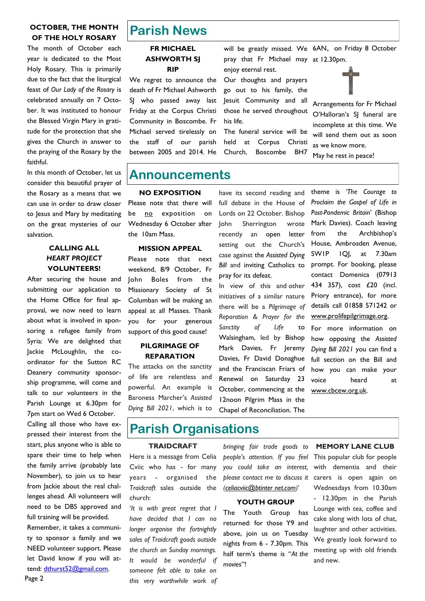#### **OCTOBER, THE MONTH OF THE HOLY ROSARY**

The month of October each year is dedicated to the Most Holy Rosary. This is primarily due to the fact that the liturgical feast of *Our Lady of the Rosary* is celebrated annually on 7 October. It was instituted to honour the Blessed Virgin Mary in gratitude for the protection that she gives the Church in answer to the praying of the Rosary by the faithful.

In this month of October, let us consider this beautiful prayer of the Rosary as a means that we can use in order to draw closer to Jesus and Mary by meditating on the great mysteries of our salvation.

#### **CALLING ALL**  *HEART PROJECT* **VOLUNTEERS!**

After securing the house and submitting our application to the Home Office for final approval, we now need to learn about what is involved in sponsoring a refugee family from Syria: We are delighted that Jackie McLoughlin, the coordinator for the Sutton RC Deanery community sponsorship programme, will come and talk to our volunteers in the Parish Lounge at 6.30pm for 7pm start on Wed 6 October.

Calling all those who have expressed their interest from the start, plus anyone who is able to spare their time to help when the family arrive (probably late November), to join us to hear from Jackie about the real challenges ahead. All volunteers will need to be DBS approved and full training will be provided.

Remember, it takes a community to sponsor a family and we NEED volunteer support. Please let David know if you will attend: [dthurst52@gmail.com.](mailto:dthurst52@gmail.com)

## **Parish News**

#### **FR MICHAEL ASHWORTH SJ RIP**

We regret to announce the death of Fr Michael Ashworth SI who passed away last Friday at the Corpus Christi Community in Boscombe. Fr Michael served tirelessly on the staff of our parish between 2005 and 2014. He will be greatly missed. We 6AN, on Friday 8 October pray that Fr Michael may at 12.30pm.

enjoy eternal rest. Our thoughts and prayers go out to his family, the Jesuit Community and all those he served throughout his life.

The funeral service will be held at Corpus Christi Church, Boscombe BH7

Arrangements for Fr Michael O'Halloran's SJ funeral are incomplete at this time. We will send them out as soon as we know more.

May he rest in peace!

### **Announcements**

#### **NO EXPOSITION**

Please note that there will be no exposition on Wednesday 6 October after the 10am Mass.

#### **MISSION APPEAL**

Please note that next weekend, 8/9 October, Fr John Boles from the Missionary Society of St Columban will be making an appeal at all Masses. Thank you for your generous support of this good cause!

#### **PILGRIMAGE OF REPARATION**

The attacks on the sanctity of life are relentless and powerful. An example is Baroness Marcher's *Assisted Dying Bill 2021*, which is to

have its second reading and full debate in the House of Lords on 22 October. Bishop John Sherrington wrote recently an open letter setting out the Church's case against the *Assisted Dying Bill* and inviting Catholics to pray for its defeat.

In view of this and other initiatives of a similar nature there will be a *Pilgrimage of Reparation & Prayer for the Sanctity of Life* to Walsingham, led by Bishop Mark Davies, Fr Jeremy Davies, Fr David Donaghue and the Franciscan Friars of Renewal on Saturday 23 October, commencing at the 12noon Pilgrim Mass in the Chapel of Reconciliation. The

theme is *'The Courage to Proclaim the Gospel of Life in Post-Pandemic Britain*' (Bishop Mark Davies). Coach leaving from the Archbishop's House, Ambrosden Avenue, SW1P 1QJ, at 7.30am prompt. For booking, please contact Domenica (07913 434 357), cost £20 (incl. Priory entrance), for more details call 01858 571242 or www.prolifepilgrimage.org.

For more information on how opposing the *Assisted Dying Bill 2021* you can find a full section on the Bill and how you can make your voice heard at www.cbcew.org.uk.

### **Parish Organisations**

#### **TRAIDCRAFT**

Here is a message from Celia Cviic who has - for many years - organised the *Traidcraft* sales outside the church:

'*It is with great regret that I have decided that I can no longer organise the fortnightly sales of Traidcraft goods outside the church on Sunday mornings. It would be wonderful if someone felt able to take on this very worthwhile work of* 

*bringing fair trade goods to people's attention. If you feel you could take an interest, please contact me to discuss it ([celiacviic@btinter net.com\)](mailto:celiacviic@btinternet.com)*'

#### **YOUTH GROUP**

The Youth Group has returned: for those Y9 and above, join us on Tuesday nights from 6 - 7.30pm. This half term's theme is "*At the movies*"!

#### **MEMORY LANE CLUB**

This popular club for people with dementia and their carers is open again on Wednesdays from 10.30am - 12.30pm in the Parish Lounge with tea, coffee and cake along with lots of chat, laughter and other activities. We greatly look forward to meeting up with old friends and new.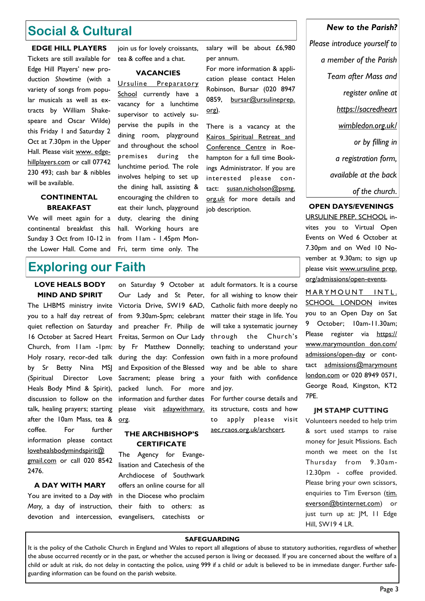### **Social & Cultural**

**EDGE HILL PLAYERS**  Tickets are still available for Edge Hill Players' new production *Showtime* (with a variety of songs from popular musicals as well as extracts by William Shakespeare and Oscar Wilde) this Friday 1 and Saturday 2 Oct at 7.30pm in the Upper Hall. Please visit [www. edge](http://www.edgehillplayers.com/)[hillplayers.com](http://www.edgehillplayers.com/) or call 07742 230 493; cash bar & nibbles will be available.

#### **CONTINENTAL BREAKFAST**

We will meet again for a continental breakfast this Sunday 3 Oct from 10-12 in the Lower Hall. Come and

join us for lovely croissants, tea & coffee and a chat.

#### **VACANCIES**

Ursuline Preparatory School currently have a vacancy for a lunchtime supervisor to actively supervise the pupils in the dining room, playground and throughout the school premises during the lunchtime period. The role involves helping to set up the dining hall, assisting & encouraging the children to eat their lunch, playground duty, clearing the dining hall. Working hours are from 11am - 1.45pm Mon-Fri, term time only. The

salary will be about £6,980 per annum.

For more information & application please contact Helen Robinson, Bursar (020 8947 0859, bursar@ursulineprep. org).

There is a vacancy at the Kairos Spiritual Retreat and Conference Centre in Roehampton for a full time Bookings Administrator. If you are interested please contact: s[usan.nicholson@psmg.](mailto:Susan.nicholson@psmg.org.uk)  [org.uk](mailto:Susan.nicholson@psmg.org.uk) for more details and job description.

*New to the Parish? Please introduce yourself to* 

*a member of the Parish Team after Mass and register online at https://sacredheart wimbledon.org.uk/ or by filling in a registration form, available at the back of the church*.

#### **OPEN DAYS/EVENINGS**

URSULINE PREP. SCHOOL invites you to Virtual Open Events on Wed 6 October at 7.30pm and on Wed 10 November at 9.30am; to sign up please visit www.ursuline prep. org/admissions/open-events.

MARYMOUNT INTL. SCHOOL LONDON invites you to an Open Day on Sat 9 October; 10am-11.30am; Please register via [https://](https://www.marymountlondon.com/admissions/open-day) [www.marymountlon don.com/](https://www.marymountlondon.com/admissions/open-day) [admissions/open-day](https://www.marymountlondon.com/admissions/open-day) or conttact [admissions@marymount](mailto:admissions@marymountlondon.com)  [london.com](mailto:admissions@marymountlondon.com) or 020 8949 0571, George Road, Kingston, KT2 7PE.

#### **JM STAMP CUTTING**

Volunteers needed to help trim & sort used stamps to raise money for Jesuit Missions. Each month we meet on the 1st Thursday from 9.30am-12.30pm - coffee provided. Please bring your own scissors, enquiries to Tim Everson (tim. [everson@btinternet.com\)](mailto:tim.everson@btinternet.com) or just turn up at: JM, 11 Edge Hill, SW19 4 LR.

### **Exploring our Faith**

#### **LOVE HEALS BODY MIND AND SPIRIT**

you to a half day retreat of quiet reflection on Saturday 16 October at Sacred Heart Church, from 11am -1pm: Holy rosary, recor-ded talk by Sr Betty Nina MSJ (Spiritual Director Love Heals Body Mind & Spirit), discussion to follow on the talk, healing prayers; starting after the 10am Mass, tea & coffee. For further information please contact [lovehealsbodymindspirit@](mailto:lovehealsbodymindspirit@gmail.com)  [gmail.com](mailto:lovehealsbodymindspirit@gmail.com) or call 020 8542 2476.

#### **A DAY WITH MARY**

You are invited to a *Day with Mary,* a day of instruction, devotion and intercession,

The LHBMS ministry invite Victoria Drive, SW19 6AD, on Saturday 9 October at Our Lady and St Peter, from 9.30am-5pm; celebrant and preacher Fr. Philip de Freitas, Sermon on Our Lady by Fr Matthew Donnelly; during the day: Confession and Exposition of the Blessed Sacrament; please bring a packed lunch. For more information and further dates please visit adaywithmary. org.

#### **THE ARCHBISHOP'S CERTIFICATE**

The Agency for Evangelisation and Catechesis of the Archdiocese of Southwark offers an online course for all in the Diocese who proclaim their faith to others: as evangelisers, catechists or adult formators. It is a course for all wishing to know their Catholic faith more deeply no matter their stage in life. You will take a systematic journey through the Church's teaching to understand your own faith in a more profound way and be able to share your faith with confidence and joy.

For further course details and its structure, costs and how to apply please visit aec.rcaos.org.uk/archcert.

#### **SAFEGUARDING**

It is the policy of the Catholic Church in England and Wales to report all allegations of abuse to statutory authorities, regardless of whether the abuse occurred recently or in the past, or whether the accused person is living or deceased. If you are concerned about the welfare of a child or adult at risk, do not delay in contacting the police, using 999 if a child or adult is believed to be in immediate danger. Further safeguarding information can be found on the parish website.